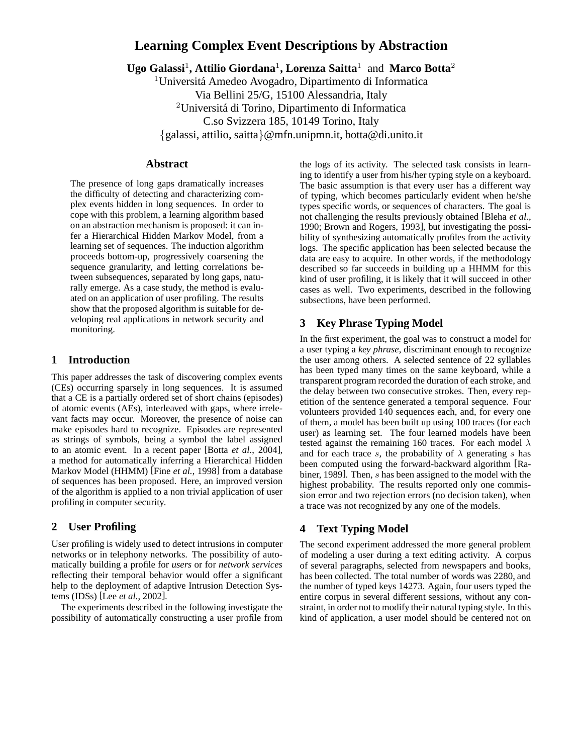# **Learning Complex Event Descriptions by Abstraction**

**Ugo Galassi**<sup>1</sup> **, Attilio Giordana**<sup>1</sup> **, Lorenza Saitta**<sup>1</sup> and **Marco Botta**<sup>2</sup>

<sup>1</sup>Universitá Amedeo Avogadro, Dipartimento di Informatica Via Bellini 25/G, 15100 Alessandria, Italy <sup>2</sup>Universitá di Torino, Dipartimento di Informatica C.so Svizzera 185, 10149 Torino, Italy {galassi, attilio, saitta}@mfn.unipmn.it, botta@di.unito.it

### **Abstract**

The presence of long gaps dramatically increases the difficulty of detecting and characterizing complex events hidden in long sequences. In order to cope with this problem, a learning algorithm based on an abstraction mechanism is proposed: it can infer a Hierarchical Hidden Markov Model, from a learning set of sequences. The induction algorithm proceeds bottom-up, progressively coarsening the sequence granularity, and letting correlations between subsequences, separated by long gaps, naturally emerge. As a case study, the method is evaluated on an application of user profiling. The results show that the proposed algorithm is suitable for developing real applications in network security and monitoring.

### **1 Introduction**

This paper addresses the task of discovering complex events (CEs) occurring sparsely in long sequences. It is assumed that a CE is a partially ordered set of short chains (episodes) of atomic events (AEs), interleaved with gaps, where irrelevant facts may occur. Moreover, the presence of noise can make episodes hard to recognize. Episodes are represented as strings of symbols, being a symbol the label assigned to an atomic event. In a recent paper [Botta *et al.*, 2004], a method for automatically inferring a Hierarchical Hidden Markov Model (HHMM) [Fine *et al.*, 1998] from a database of sequences has been proposed. Here, an improved version of the algorithm is applied to a non trivial application of user profiling in computer security.

#### **2 User Profiling**

User profiling is widely used to detect intrusions in computer networks or in telephony networks. The possibility of automatically building a profile for *users* or for *network services* reflecting their temporal behavior would offer a significant help to the deployment of adaptive Intrusion Detection Systems (IDSs) [Lee *et al.*, 2002].

The experiments described in the following investigate the possibility of automatically constructing a user profile from the logs of its activity. The selected task consists in learning to identify a user from his/her typing style on a keyboard. The basic assumption is that every user has a different way of typing, which becomes particularly evident when he/she types specific words, or sequences of characters. The goal is not challenging the results previously obtained [Bleha *et al.*, 1990; Brown and Rogers, 1993], but investigating the possibility of synthesizing automatically profiles from the activity logs. The specific application has been selected because the data are easy to acquire. In other words, if the methodology described so far succeeds in building up a HHMM for this kind of user profiling, it is likely that it will succeed in other cases as well. Two experiments, described in the following subsections, have been performed.

# **3 Key Phrase Typing Model**

In the first experiment, the goal was to construct a model for a user typing a *key phrase*, discriminant enough to recognize the user among others. A selected sentence of 22 syllables has been typed many times on the same keyboard, while a transparent program recorded the duration of each stroke, and the delay between two consecutive strokes. Then, every repetition of the sentence generated a temporal sequence. Four volunteers provided 140 sequences each, and, for every one of them, a model has been built up using 100 traces (for each user) as learning set. The four learned models have been tested against the remaining 160 traces. For each model  $\lambda$ and for each trace s, the probability of  $\lambda$  generating s has been computed using the forward-backward algorithm [Rabiner, 1989]. Then, s has been assigned to the model with the highest probability. The results reported only one commission error and two rejection errors (no decision taken), when a trace was not recognized by any one of the models.

# **4 Text Typing Model**

The second experiment addressed the more general problem of modeling a user during a text editing activity. A corpus of several paragraphs, selected from newspapers and books, has been collected. The total number of words was 2280, and the number of typed keys 14273. Again, four users typed the entire corpus in several different sessions, without any constraint, in order not to modify their natural typing style. In this kind of application, a user model should be centered not on